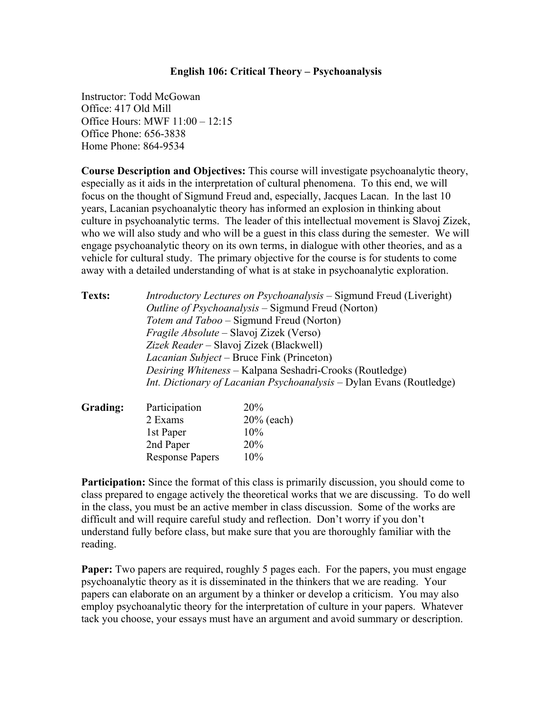## **English 106: Critical Theory – Psychoanalysis**

Instructor: Todd McGowan Office: 417 Old Mill Office Hours: MWF 11:00 – 12:15 Office Phone: 656-3838 Home Phone: 864-9534

**Course Description and Objectives:** This course will investigate psychoanalytic theory, especially as it aids in the interpretation of cultural phenomena. To this end, we will focus on the thought of Sigmund Freud and, especially, Jacques Lacan. In the last 10 years, Lacanian psychoanalytic theory has informed an explosion in thinking about culture in psychoanalytic terms. The leader of this intellectual movement is Slavoj Zizek, who we will also study and who will be a guest in this class during the semester. We will engage psychoanalytic theory on its own terms, in dialogue with other theories, and as a vehicle for cultural study. The primary objective for the course is for students to come away with a detailed understanding of what is at stake in psychoanalytic exploration.

| Texts:   |                                                                      | <i>Introductory Lectures on Psychoanalysis</i> – Sigmund Freud (Liveright)<br><i>Outline of Psychoanalysis</i> – Sigmund Freud (Norton)<br><i>Totem and Taboo – Sigmund Freud (Norton)</i><br><i>Fragile Absolute</i> – Slavoj Zizek (Verso)<br>Zizek Reader - Slavoj Zizek (Blackwell)<br><i>Lacanian Subject</i> – Bruce Fink (Princeton)<br>Desiring Whiteness – Kalpana Seshadri-Crooks (Routledge) |  |  |  |
|----------|----------------------------------------------------------------------|---------------------------------------------------------------------------------------------------------------------------------------------------------------------------------------------------------------------------------------------------------------------------------------------------------------------------------------------------------------------------------------------------------|--|--|--|
|          | Int. Dictionary of Lacanian Psychoanalysis – Dylan Evans (Routledge) |                                                                                                                                                                                                                                                                                                                                                                                                         |  |  |  |
| Grading: | Participation                                                        | 20%                                                                                                                                                                                                                                                                                                                                                                                                     |  |  |  |
|          | $2$ Evame                                                            | $20\%$ (agch)                                                                                                                                                                                                                                                                                                                                                                                           |  |  |  |

| -------- |                        |               |
|----------|------------------------|---------------|
|          | 2 Exams                | $20\%$ (each) |
|          | 1st Paper              | 10%           |
|          | 2nd Paper              | <b>20%</b>    |
|          | <b>Response Papers</b> | $10\%$        |

**Participation:** Since the format of this class is primarily discussion, you should come to class prepared to engage actively the theoretical works that we are discussing. To do well in the class, you must be an active member in class discussion. Some of the works are difficult and will require careful study and reflection. Don't worry if you don't understand fully before class, but make sure that you are thoroughly familiar with the reading.

**Paper:** Two papers are required, roughly 5 pages each. For the papers, you must engage psychoanalytic theory as it is disseminated in the thinkers that we are reading. Your papers can elaborate on an argument by a thinker or develop a criticism. You may also employ psychoanalytic theory for the interpretation of culture in your papers. Whatever tack you choose, your essays must have an argument and avoid summary or description.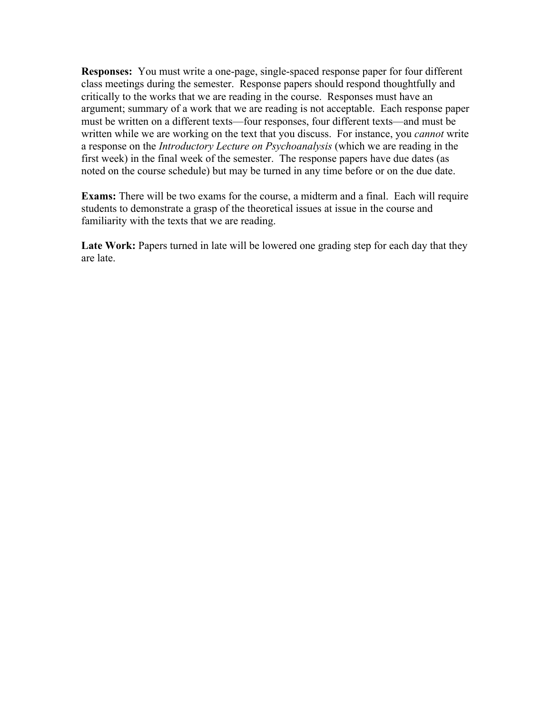**Responses:** You must write a one-page, single-spaced response paper for four different class meetings during the semester. Response papers should respond thoughtfully and critically to the works that we are reading in the course. Responses must have an argument; summary of a work that we are reading is not acceptable. Each response paper must be written on a different texts—four responses, four different texts—and must be written while we are working on the text that you discuss. For instance, you *cannot* write a response on the *Introductory Lecture on Psychoanalysis* (which we are reading in the first week) in the final week of the semester. The response papers have due dates (as noted on the course schedule) but may be turned in any time before or on the due date.

**Exams:** There will be two exams for the course, a midterm and a final. Each will require students to demonstrate a grasp of the theoretical issues at issue in the course and familiarity with the texts that we are reading.

**Late Work:** Papers turned in late will be lowered one grading step for each day that they are late.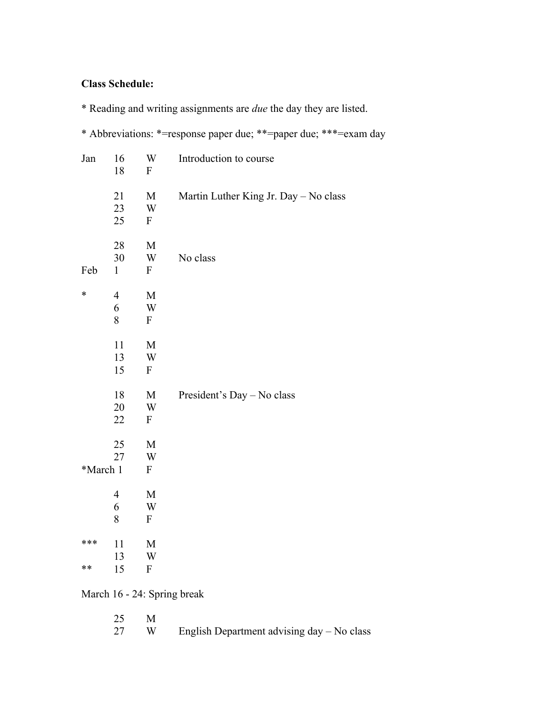## **Class Schedule:**

\* Reading and writing assignments are *due* the day they are listed.

\* Abbreviations: \*=response paper due; \*\*=paper due; \*\*\*=exam day

| Jan      | 16<br>18           | W<br>$\mathbf{F}$                                    | Introduction to course                |
|----------|--------------------|------------------------------------------------------|---------------------------------------|
|          | 21<br>23           | M<br>W                                               | Martin Luther King Jr. Day - No class |
|          | 25                 | $\boldsymbol{F}$                                     |                                       |
|          | 28                 | M                                                    |                                       |
| Feb      | 30<br>$\mathbf{1}$ | $\ensuremath{\text{W}}$<br>$\boldsymbol{\mathrm{F}}$ | No class                              |
| $\ast$   | $\overline{4}$     | $\mathbf M$                                          |                                       |
|          | 6<br>8             | W<br>$\mathbf{F}$                                    |                                       |
|          | 11                 | $\mathbf M$                                          |                                       |
|          | 13                 | W                                                    |                                       |
|          | 15                 | $\mathbf{F}$                                         |                                       |
|          | 18                 | M                                                    | President's Day - No class            |
|          | 20                 | W                                                    |                                       |
|          | 22                 | $\mathbf{F}$                                         |                                       |
|          | 25                 | $\mathbf M$                                          |                                       |
|          | 27                 | W                                                    |                                       |
| *March 1 |                    | ${\bf F}$                                            |                                       |
|          | 4                  | M                                                    |                                       |
|          | 6                  | $\ensuremath{\text{W}}$                              |                                       |
|          | 8                  | $\mathbf F$                                          |                                       |
| ***      | 11                 | M                                                    |                                       |
|          | 13                 | W                                                    |                                       |
| $**$     | 15                 | $\mathbf{F}$                                         |                                       |
|          |                    |                                                      | March 16 - 24: Spring break           |

| 25 M |      |                                            |
|------|------|--------------------------------------------|
|      | 27 W | English Department advising day – No class |